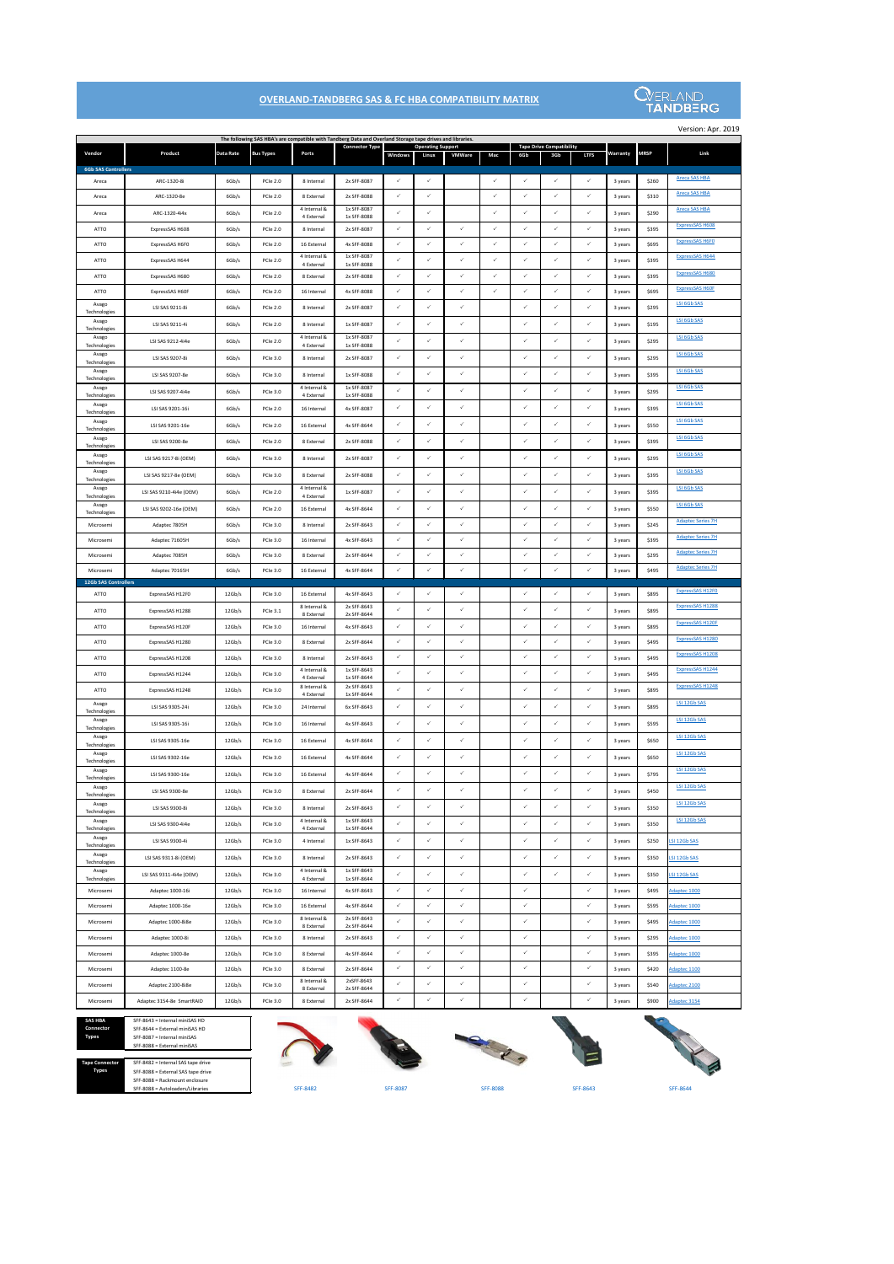|                             |                                    |                  |                                    |                             | The following SAS HBA's are compatible with Tandberg Data and Overland Storage tape drives and libraries. |              |                                   |               |              |              |                                        |              |                    |                |                          |
|-----------------------------|------------------------------------|------------------|------------------------------------|-----------------------------|-----------------------------------------------------------------------------------------------------------|--------------|-----------------------------------|---------------|--------------|--------------|----------------------------------------|--------------|--------------------|----------------|--------------------------|
| Vendor                      | Product                            | <b>Data Rate</b> | <b>Bus Types</b>                   | Ports                       | <b>Connector Type</b>                                                                                     | Windows      | <b>Operating Support</b><br>Linux | <b>VMWare</b> | Mac          | 6Gb          | <b>Tape Drive Compatibility</b><br>3Gb | <b>LTFS</b>  | Warranty           | <b>MRSP</b>    | Link                     |
| <b>6Gb SAS Controllers</b>  |                                    |                  |                                    |                             |                                                                                                           | $\checkmark$ | $\checkmark$                      |               | ✓            | $\checkmark$ | $\checkmark$                           | $\checkmark$ |                    |                | Areca SAS HBA            |
| Areca                       | ARC-1320-8i                        | 6Gb/s            | <b>PCIe 2.0</b>                    | 8 Internal                  | 2x SFF-8087<br>2x SFF-8088                                                                                | ✓            | $\checkmark$                      |               | ✓            | ✓            | $\checkmark$                           | $\checkmark$ | 3 years            | \$260          | Areca SAS HBA            |
| Areca<br>Areca              | ARC-1320-8e<br>ARC-1320-4i4x       | 6Gb/s<br>6Gb/s   | <b>PCIe 2.0</b><br><b>PCIe 2.0</b> | 8 External<br>4 Internal &  | 1x SFF-8087                                                                                               | $\checkmark$ | $\checkmark$                      |               | ✓            | $\checkmark$ | $\checkmark$                           | $\checkmark$ | 3 years            | \$310          | <b>Areca SAS HBA</b>     |
|                             |                                    |                  |                                    | 4 External                  | 1x SFF-8088                                                                                               | $\checkmark$ | $\checkmark$                      | $\checkmark$  | ✓            | ✓            | $\checkmark$                           | $\checkmark$ | 3 years            | \$290          | <b>ExpressSAS H608</b>   |
| ATTO                        | ExpressSAS H608                    | 6Gb/s            | PCIe 2.0                           | 8 Internal                  | 2x SFF-8087<br>4x SFF-8088                                                                                | $\checkmark$ | $\checkmark$                      | $\checkmark$  | ✓            | ✓            | $\checkmark$                           | $\checkmark$ | 3 years            | \$395<br>\$695 | <b>ExpressSAS H6F0</b>   |
| ATTO                        | ExpressSAS H6F0                    | 6Gb/s            | <b>PCIe 2.0</b>                    | 16 External<br>4 Internal & | 1x SFF-8087                                                                                               | $\checkmark$ | $\checkmark$                      | $\checkmark$  | $\checkmark$ | ✓            | $\checkmark$                           | $\checkmark$ | 3 years            |                | <b>ExpressSAS H644</b>   |
| <b>ATTO</b>                 | ExpressSAS H644                    | 6Gb/s            | <b>PCIe 2.0</b>                    | 4 External                  | 1x SFF-8088                                                                                               | ✓            | ✓                                 | $\checkmark$  | ✓            | ✓            | $\checkmark$                           | $\checkmark$ | 3 years            | \$395          | <b>ExpressSAS H680</b>   |
| ATTO<br>ATTO                | ExpressSAS H680                    | 6Gb/s<br>6Gb/s   | <b>PCIe 2.0</b><br><b>PCIe 2.0</b> | 8 External<br>16 Internal   | 2x SFF-8088<br>4x SFF-8088                                                                                | $\checkmark$ | $\checkmark$                      | $\checkmark$  | ✓            | ✓            | $\checkmark$                           | $\checkmark$ | 3 years<br>3 years | \$395<br>\$695 | <b>ExpressSAS H60F</b>   |
| Avago                       | ExpressSAS H60F<br>LSI SAS 9211-8i | 6Gb/s            | <b>PCIe 2.0</b>                    | 8 Internal                  | 2x SFF-8087                                                                                               | ✓            | $\checkmark$                      | $\checkmark$  |              | ✓            | $\checkmark$                           | $\checkmark$ | 3 years            | \$295          | <b>LSI 6Gb SAS</b>       |
| Technologies<br>Avago       |                                    |                  |                                    |                             |                                                                                                           | $\checkmark$ | $\checkmark$                      | $\checkmark$  |              | ✓            | $\checkmark$                           | $\checkmark$ |                    |                | <b>LSI 6Gb SAS</b>       |
| Technologies<br>Avago       | LSI SAS 9211-4i                    | 6Gb/s            | <b>PCIe 2.0</b>                    | 8 Internal<br>4 Internal &  | 1x SFF-8087<br>1x SFF-8087                                                                                |              |                                   |               |              |              |                                        |              | 3 years            | \$195          | <b>LSI 6Gb SAS</b>       |
| Technologies<br>Avago       | LSI SAS 9212-4i4e                  | 6Gb/s            | <b>PCIe 2.0</b>                    | 4 External                  | 1x SFF-8088                                                                                               | ✓            | $\checkmark$                      | $\checkmark$  |              | ✓            | $\checkmark$                           | $\checkmark$ | 3 years            | \$295          | LSI 6Gb SAS              |
| Technologies                | LSI SAS 9207-8i                    | 6Gb/s            | PCIe 3.0                           | 8 Internal                  | 2x SFF-8087                                                                                               | $\checkmark$ | $\checkmark$                      | $\checkmark$  |              | ✓            | $\checkmark$                           | $\checkmark$ | 3 years            | \$295          | <b>LSI 6Gb SAS</b>       |
| Avago<br>Technologies       | LSI SAS 9207-8e                    | 6Gb/s            | <b>PCIe 3.0</b>                    | 8 Internal                  | 1x SFF-8088                                                                                               | ✓            | $\checkmark$                      | $\checkmark$  |              | ✓            | $\checkmark$                           | $\checkmark$ | 3 years            | \$395          |                          |
| Avago<br>Technologies       | LSI SAS 9207-4i4e                  | 6Gb/s            | <b>PCIe 3.0</b>                    | 4 Internal &<br>4 External  | 1x SFF-8087<br>1x SFF-8088                                                                                | $\checkmark$ | $\checkmark$                      | $\checkmark$  |              | ✓            | $\checkmark$                           | $\checkmark$ | 3 years            | \$295          | LSI 6Gb SAS              |
| Avago<br>Technologies       | LSI SAS 9201-16i                   | 6Gb/s            | PCIe 2.0                           | 16 Internal                 | 4x SFF-8087                                                                                               | $\checkmark$ | $\checkmark$                      | $\checkmark$  |              | ✓            | $\checkmark$                           | $\checkmark$ | 3 years            | \$395          | LSI 6Gb SAS              |
| Avago<br>Technologies       | LSI SAS 9201-16e                   | 6Gb/s            | PCIe 2.0                           | 16 External                 | 4x SFF-8644                                                                                               | $\checkmark$ | $\checkmark$                      | $\checkmark$  |              | ✓            | $\checkmark$                           | $\checkmark$ | 3 years            | \$550          | <b>LSI 6Gb SAS</b>       |
| Avago<br>Technologies       | LSI SAS 9200-8e                    | 6Gb/s            | <b>PCIe 2.0</b>                    | 8 External                  | 2x SFF-8088                                                                                               | ✓            | ✓                                 | $\checkmark$  |              | ✓            | $\checkmark$                           | $\checkmark$ | 3 years            | \$395          | <b>LSI 6Gb SAS</b>       |
| Avago<br>Technologies       | LSI SAS 9217-8i (OEM)              | 6Gb/s            | <b>PCIe 3.0</b>                    | 8 Internal                  | 2x SFF-8087                                                                                               | $\checkmark$ | $\checkmark$                      | $\checkmark$  |              | ✓            | $\checkmark$                           | $\checkmark$ | 3 years            | \$295          | <b>LSI 6Gb SAS</b>       |
| Avago<br>Technologies       | LSI SAS 9217-8e (OEM)              | 6Gb/s            | PCIe 3.0                           | 8 External                  | 2x SFF-8088                                                                                               | $\checkmark$ | $\checkmark$                      | $\checkmark$  |              | ✓            | $\checkmark$                           | $\checkmark$ | 3 years            | \$395          | <b>LSI 6Gb SAS</b>       |
| Avago<br>Technologies       | LSI SAS 9210-4i4e (OEM)            | 6Gb/s            | PCIe 2.0                           | 4 Internal &<br>4 External  | 1x SFF-8087                                                                                               | ✓            | ✓                                 | $\checkmark$  |              | ✓            | $\checkmark$                           | $\checkmark$ | 3 years            | \$395          | <b>LSI 6Gb SAS</b>       |
| Avago<br>Technologies       | LSI SAS 9202-16e (OEM)             | 6Gb/s            | <b>PCIe 2.0</b>                    | 16 External                 | 4x SFF-8644                                                                                               | $\checkmark$ | $\checkmark$                      | $\checkmark$  |              | ✓            | $\checkmark$                           | $\checkmark$ | 3 years            | \$550          | <b>LSI 6Gb SAS</b>       |
| Microsemi                   | Adaptec 7805H                      | 6Gb/s            | PCIe 3.0                           | 8 Internal                  | 2x SFF-8643                                                                                               | $\checkmark$ | $\checkmark$                      | $\checkmark$  |              | ✓            | $\checkmark$                           | $\checkmark$ | 3 years            | \$245          | <b>Adaptec Series 7H</b> |
| Microsemi                   | Adaptec 71605H                     | 6Gb/s            | PCIe 3.0                           | 16 Internal                 | 4x SFF-8643                                                                                               | ✓            | $\checkmark$                      | $\checkmark$  |              | ✓            | $\checkmark$                           | $\checkmark$ | 3 years            | \$395          | <b>Adaptec Series 7H</b> |
| Microsemi                   | Adaptec 7085H                      | 6Gb/s            | <b>PCIe 3.0</b>                    | 8 External                  | 2x SFF-8644                                                                                               | $\checkmark$ | $\checkmark$                      | $\checkmark$  |              | ✓            | $\checkmark$                           | $\checkmark$ | 3 years            | \$295          | <b>Adaptec Series 7H</b> |
| Microsemi                   | Adaptec 70165H                     | 6Gb/s            | <b>PCIe 3.0</b>                    | 16 External                 | 4x SFF-8644                                                                                               | $\checkmark$ | $\checkmark$                      | $\checkmark$  |              | $\checkmark$ | $\checkmark$                           | $\checkmark$ | 3 years            | \$495          | <b>Adaptec Series 7H</b> |
| <b>12Gb SAS Controllers</b> |                                    |                  |                                    |                             |                                                                                                           |              |                                   |               |              |              |                                        |              |                    |                | ExpressSAS H12F0         |
| AIIO                        | ExpressSAS H12F0                   | 12Gb/s           | <b>PCIe 3.0</b>                    | 16 External                 | 4x SFF-8643                                                                                               | .7           | ./                                |               |              |              |                                        |              | 3 years            | \$895          |                          |
| <b>ATTO</b>                 |                                    |                  |                                    |                             |                                                                                                           |              |                                   |               |              |              |                                        |              |                    |                |                          |
|                             | ExpressSAS H1288                   | 12Gb/s           | <b>PCIe 3.1</b>                    | 8 Internal &<br>8 External  | 2x SFF-8643<br>2x SFF-8644                                                                                | $\checkmark$ | $\checkmark$                      | $\checkmark$  |              | $\checkmark$ | $\checkmark$                           | $\checkmark$ | 3 years            | \$895          | <b>ExpressSAS H1288</b>  |
| ATTO                        | ExpressSAS H120F                   | 12Gb/s           | <b>PCIe 3.0</b>                    | 16 Internal                 | 4x SFF-8643                                                                                               | $\checkmark$ | $\checkmark$                      | $\checkmark$  |              | ✓            | $\checkmark$                           | $\checkmark$ | 3 years            | \$895          | <b>ExpressSAS H120F</b>  |
| ATTO                        | ExpressSAS H1280                   | 12Gb/s           | <b>PCIe 3.0</b>                    | 8 External                  | 2x SFF-8644                                                                                               | $\checkmark$ | $\checkmark$                      | $\checkmark$  |              | ✓            | $\checkmark$                           | $\checkmark$ | 3 years            | \$495          | ExpressSAS H1280         |
| ATTO                        | ExpressSAS H1208                   | 12Gb/s           | PCIe 3.0                           | 8 Internal                  | 2x SFF-8643                                                                                               | $\checkmark$ | ✓                                 | $\checkmark$  |              | ✓            | $\checkmark$                           | $\checkmark$ | 3 years            | \$495          | ExpressSAS H1208         |
| <b>ATTO</b>                 | ExpressSAS H1244                   | 12Gb/s           | <b>PCIe 3.0</b>                    | 4 Internal &<br>4 External  | 1x SFF-8643<br>1x SFF-8644                                                                                | $\checkmark$ | $\checkmark$                      | $\checkmark$  |              | $\checkmark$ | $\checkmark$                           | $\checkmark$ | 3 years            | \$495          | ExpressSAS H1244         |
| <b>ATTO</b>                 | ExpressSAS H1248                   | 12Gb/s           | <b>PCIe 3.0</b>                    | 8 Internal &<br>4 External  | 2x SFF-8643<br>1x SFF-8644                                                                                | ✓            | $\checkmark$                      | $\checkmark$  |              | ✓            | $\checkmark$                           | $\checkmark$ | 3 years            | \$895          | <b>ExpressSAS H1248</b>  |
| Avago<br>Technologies       | LSI SAS 9305-24i                   | 12Gb/s           | <b>PCIe 3.0</b>                    | 24 Internal                 | 6x SFF-8643                                                                                               | $\checkmark$ | $\checkmark$                      | $\checkmark$  |              | $\checkmark$ | $\checkmark$                           | $\checkmark$ | 3 years            | \$895          | LSI 12Gb SAS             |
| Avago<br>Technologies       | LSI SAS 9305-16i                   | 12Gb/s           | <b>PCIe 3.0</b>                    | 16 Internal                 | 4x SFF-8643                                                                                               | $\checkmark$ | $\checkmark$                      | $\checkmark$  |              | $\checkmark$ | $\checkmark$                           | $\checkmark$ | 3 years            | \$595          | <b>LSI 12Gb SAS</b>      |
| Avago<br>Technologies       | LSI SAS 9305-16e                   | 12Gb/s           | <b>PCIe 3.0</b>                    | 16 External                 | 4x SFF-8644                                                                                               | $\checkmark$ | $\checkmark$                      | $\checkmark$  |              | $\checkmark$ | $\checkmark$                           | $\checkmark$ | 3 years            | \$650          | <b>LSI 12Gb SAS</b>      |
| Avago<br>Technologies       | LSI SAS 9302-16e                   | 12Gb/s           | PCIe 3.0                           | 16 External                 | 4x SFF-8644                                                                                               | $\checkmark$ | $\checkmark$                      | $\checkmark$  |              | ✓            | $\checkmark$                           | $\checkmark$ | 3 years            | \$650          | LSI 12Gb SAS             |
| Avago<br>Technologies       | LSI SAS 9300-16e                   | 12Gb/s           | <b>PCIe 3.0</b>                    | 16 External                 | 4x SFF-8644                                                                                               | $\checkmark$ | $\checkmark$                      | $\checkmark$  |              | ✓            | $\checkmark$                           | $\checkmark$ | 3 years            | \$795          | <b>LSI 12Gb SAS</b>      |
| Avago<br>Technologies       | LSI SAS 9300-8e                    | 12Gb/s           | <b>PCIe 3.0</b>                    | 8 External                  | 2x SFF-8644                                                                                               | ✓            | $\checkmark$                      | $\checkmark$  |              | ✓            | $\checkmark$                           | $\checkmark$ | 3 years            | \$450          | <b>LSI 12Gb SAS</b>      |
| Avago<br>Technologies       | LSI SAS 9300-8i                    | 12Gb/s           | PCIe 3.0                           | 8 Internal                  | 2x SFF-8643                                                                                               | $\checkmark$ | $\checkmark$                      | $\checkmark$  |              | ✓            | $\checkmark$                           | $\checkmark$ | 3 years            | \$350          | <b>LSI 12Gb SAS</b>      |
| Avago                       | LSI SAS 9300-4i4e                  | 12Gb/s           | <b>PCIe 3.0</b>                    | 4 Internal &                | 1x SFF-8643                                                                                               | $\checkmark$ | $\checkmark$                      | $\checkmark$  |              | ✓            | $\checkmark$                           | $\checkmark$ | 3 years            | \$350          | <b>LSI 12Gb SAS</b>      |
| Technologies<br>Avago       | LSI SAS 9300-4i                    | 12Gb/s           | <b>PCIe 3.0</b>                    | 4 External<br>4 Internal    | 1x SFF-8644<br>1x SFF-8643                                                                                | $\checkmark$ | ✓                                 | $\checkmark$  |              | ✓            | $\checkmark$                           | $\checkmark$ | 3 years            | \$250          | SI 12Gb SAS              |
| Technologies<br>Avago       | LSI SAS 9311-8i (OEM)              | 12Gb/s           | <b>PCIe 3.0</b>                    | 8 Internal                  | 2x SFF-8643                                                                                               | $\checkmark$ | $\checkmark$                      | $\checkmark$  |              | ✓            | $\checkmark$                           | $\checkmark$ | 3 years            | \$350          | SI 12Gb SAS              |
| Technologies<br>Avago       | LSI SAS 9311-4i4e (OEM)            | 12Gb/s           | <b>PCIe 3.0</b>                    | 4 Internal &                | 1x SFF-8643                                                                                               | $\checkmark$ | $\checkmark$                      | $\checkmark$  |              | ✓            | $\checkmark$                           | $\checkmark$ | 3 years            | \$350          | LSI 12Gb SAS             |
| Technologies<br>Microsemi   | Adaptec 1000-16i                   | 12Gb/s           | <b>PCIe 3.0</b>                    | 4 External<br>16 Internal   | 1x SFF-8644<br>4x SFF-8643                                                                                | $\checkmark$ | $\checkmark$                      | $\checkmark$  |              | $\checkmark$ |                                        | $\checkmark$ | 3 years            | \$495          | Adaptec 1000             |
| Microsemi                   | Adaptec 1000-16e                   | 12Gb/s           | <b>PCIe 3.0</b>                    | 16 External                 | 4x SFF-8644                                                                                               | $\checkmark$ | $\checkmark$                      | $\checkmark$  |              | $\checkmark$ |                                        | $\checkmark$ | 3 years            | \$595          | Adaptec 1000             |
| Microsemi                   | Adaptec 1000-8i8e                  | 12Gb/s           | PCIe 3.0                           | 8 Internal &                | 2x SFF-8643                                                                                               | $\checkmark$ | $\checkmark$                      | $\checkmark$  |              | $\checkmark$ |                                        | $\checkmark$ | 3 years            | \$495          | Adaptec 1000             |
| Microsemi                   | Adaptec 1000-8i                    | 12Gb/s           | <b>PCIe 3.0</b>                    | 8 External<br>8 Internal    | 2x SFF-8644<br>2x SFF-8643                                                                                | ✓            | $\checkmark$                      | $\checkmark$  |              | $\checkmark$ |                                        | $\checkmark$ | 3 years            | \$295          | Adaptec 1000             |
| Microsemi                   | Adaptec 1000-8e                    | 12Gb/s           | PCIe 3.0                           | 8 External                  | 4x SFF-8644                                                                                               | $\checkmark$ | $\checkmark$                      | $\checkmark$  |              | $\checkmark$ |                                        | $\checkmark$ | 3 years            | \$395          | Adaptec 1000             |
| Microsemi                   | Adaptec 1100-8e                    | 12Gb/s           | <b>PCIe 3.0</b>                    | 8 External                  | 2x SFF-8644                                                                                               | ✓            | $\checkmark$                      | $\checkmark$  |              | ✓            |                                        | $\checkmark$ | 3 years            | \$420          | Adaptec 1100             |
| Microsemi                   | Adaptec 2100-8i8e                  | 12Gb/s           | <b>PCIe 3.0</b>                    | 8 Internal &<br>8 External  | 2xSFF-8643<br>2x SFF-8644                                                                                 | $\checkmark$ | $\checkmark$                      | $\checkmark$  |              | $\checkmark$ |                                        | $\checkmark$ | 3 years            | \$540          | Adaptec 2100             |

SFF-8482 SFF-8087 SFF-8088 SFF-8643 SFF-8644

## **OVERLAND-TANDBERG SAS & FC HBA COMPATIBILITY MATRIX**



Version: Apr. 2019

| <b>SAS HBA</b> | SFF-8643 = Internal miniSAS HD |
|----------------|--------------------------------|
| Connector      | SFF-8644 = External miniSAS HD |
| Types          | SFF-8087 = Internal miniSAS    |
|                | SFF-8088 = External miniSAS    |
|                |                                |

| <b>Tape Connector</b> | SFF-8482 = Internal SAS tape drive |
|-----------------------|------------------------------------|
| <b>Types</b>          | SFF-8088 = External SAS tape drive |
|                       | SFF-8088 = Rackmount enclosure     |
|                       | SFF-8088 = Autoloaders/Libraries   |